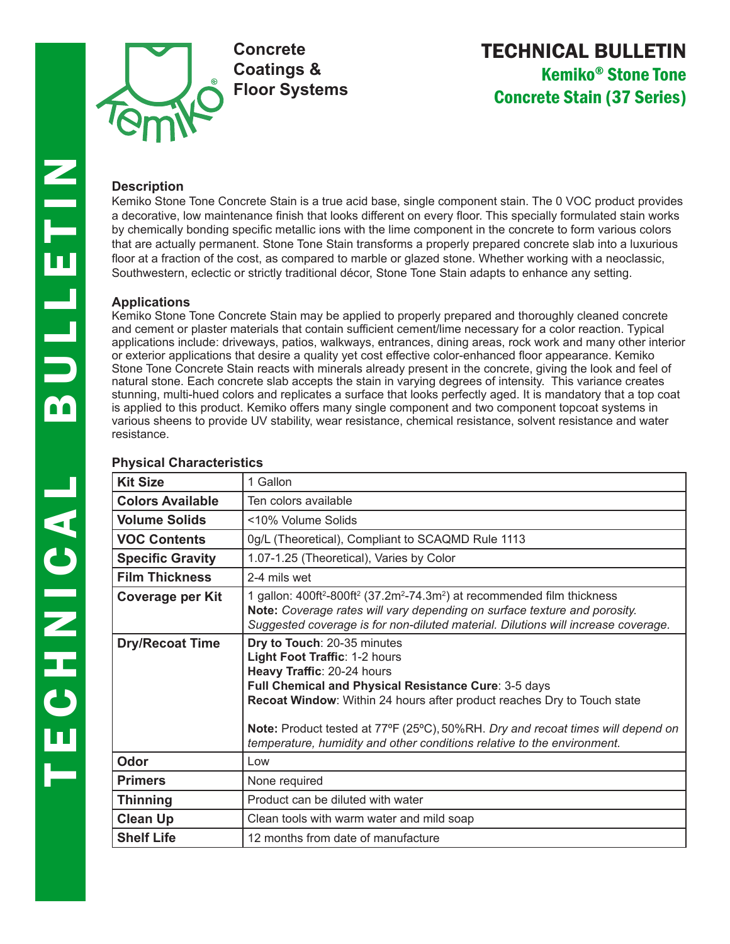

# TECHNICAL BULLETIN Kemiko® Stone Tone Concrete Stain (37 Series)

Kemiko Stone Tone Concrete Stain is a true acid base, single component stain. The 0 VOC product provides a decorative, low maintenance finish that looks different on every floor. This specially formulated stain works by chemically bonding specific metallic ions with the lime component in the concrete to form various colors that are actually permanent. Stone Tone Stain transforms a properly prepared concrete slab into a luxurious floor at a fraction of the cost, as compared to marble or glazed stone. Whether working with a neoclassic, Southwestern, eclectic or strictly traditional décor, Stone Tone Stain adapts to enhance any setting.

#### **Applications**

Kemiko Stone Tone Concrete Stain may be applied to properly prepared and thoroughly cleaned concrete and cement or plaster materials that contain sufficient cement/lime necessary for a color reaction. Typical applications include: driveways, patios, walkways, entrances, dining areas, rock work and many other interior or exterior applications that desire a quality yet cost effective color-enhanced floor appearance. Kemiko Stone Tone Concrete Stain reacts with minerals already present in the concrete, giving the look and feel of natural stone. Each concrete slab accepts the stain in varying degrees of intensity. This variance creates stunning, multi-hued colors and replicates a surface that looks perfectly aged. It is mandatory that a top coat is applied to this product. Kemiko offers many single component and two component topcoat systems in various sheens to provide UV stability, wear resistance, chemical resistance, solvent resistance and water resistance.

| <b>Kit Size</b>         | 1 Gallon                                                                                                                                                                                                                                                                                                                                                                                    |
|-------------------------|---------------------------------------------------------------------------------------------------------------------------------------------------------------------------------------------------------------------------------------------------------------------------------------------------------------------------------------------------------------------------------------------|
| <b>Colors Available</b> | Ten colors available                                                                                                                                                                                                                                                                                                                                                                        |
| <b>Volume Solids</b>    | <10% Volume Solids                                                                                                                                                                                                                                                                                                                                                                          |
| <b>VOC Contents</b>     | 0g/L (Theoretical), Compliant to SCAQMD Rule 1113                                                                                                                                                                                                                                                                                                                                           |
| <b>Specific Gravity</b> | 1.07-1.25 (Theoretical), Varies by Color                                                                                                                                                                                                                                                                                                                                                    |
| <b>Film Thickness</b>   | 2-4 mils wet                                                                                                                                                                                                                                                                                                                                                                                |
| <b>Coverage per Kit</b> | 1 gallon: $400$ ft <sup>2</sup> -800ft <sup>2</sup> (37.2m <sup>2</sup> -74.3m <sup>2</sup> ) at recommended film thickness<br>Note: Coverage rates will vary depending on surface texture and porosity.<br>Suggested coverage is for non-diluted material. Dilutions will increase coverage.                                                                                               |
| <b>Dry/Recoat Time</b>  | Dry to Touch: 20-35 minutes<br>Light Foot Traffic: 1-2 hours<br>Heavy Traffic: 20-24 hours<br>Full Chemical and Physical Resistance Cure: 3-5 days<br>Recoat Window: Within 24 hours after product reaches Dry to Touch state<br>Note: Product tested at 77°F (25°C), 50%RH. Dry and recoat times will depend on<br>temperature, humidity and other conditions relative to the environment. |
| Odor                    | Low                                                                                                                                                                                                                                                                                                                                                                                         |
| <b>Primers</b>          | None required                                                                                                                                                                                                                                                                                                                                                                               |
| <b>Thinning</b>         | Product can be diluted with water                                                                                                                                                                                                                                                                                                                                                           |
| <b>Clean Up</b>         | Clean tools with warm water and mild soap                                                                                                                                                                                                                                                                                                                                                   |
| <b>Shelf Life</b>       | 12 months from date of manufacture                                                                                                                                                                                                                                                                                                                                                          |

## **Physical Characteristics**